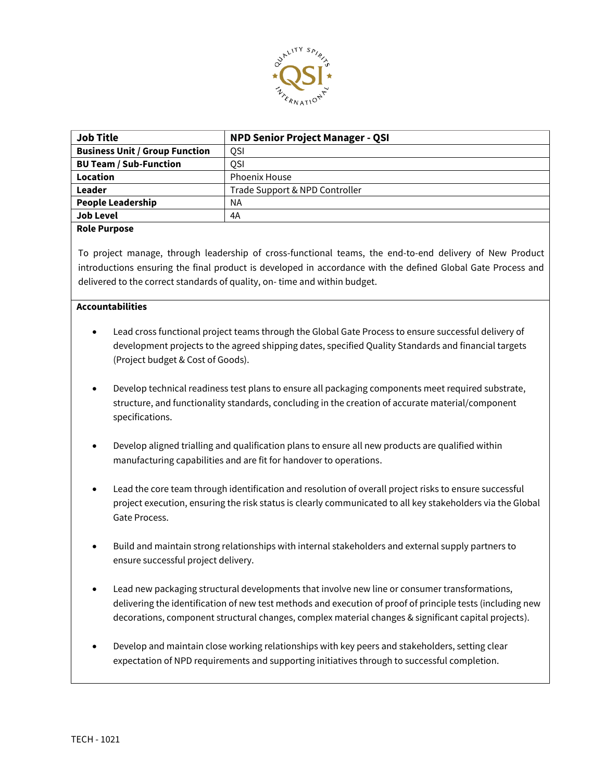

| <b>NPD Senior Project Manager - QSI</b> |
|-----------------------------------------|
| <b>OSI</b>                              |
| OSI                                     |
| <b>Phoenix House</b>                    |
| Trade Support & NPD Controller          |
| <b>NA</b>                               |
| 4A                                      |
|                                         |

## **Role Purpose**

To project manage, through leadership of cross-functional teams, the end-to-end delivery of New Product introductions ensuring the final product is developed in accordance with the defined Global Gate Process and delivered to the correct standards of quality, on- time and within budget.

## **Accountabilities**

- Lead cross functional project teams through the Global Gate Process to ensure successful delivery of development projects to the agreed shipping dates, specified Quality Standards and financial targets (Project budget & Cost of Goods).
- Develop technical readiness test plans to ensure all packaging components meet required substrate, structure, and functionality standards, concluding in the creation of accurate material/component specifications.
- Develop aligned trialling and qualification plans to ensure all new products are qualified within manufacturing capabilities and are fit for handover to operations.
- Lead the core team through identification and resolution of overall project risks to ensure successful project execution, ensuring the risk status is clearly communicated to all key stakeholders via the Global Gate Process.
- Build and maintain strong relationships with internal stakeholders and external supply partners to ensure successful project delivery.
- Lead new packaging structural developments that involve new line or consumer transformations, delivering the identification of new test methods and execution of proof of principle tests (including new decorations, component structural changes, complex material changes & significant capital projects).
- Develop and maintain close working relationships with key peers and stakeholders, setting clear expectation of NPD requirements and supporting initiatives through to successful completion.